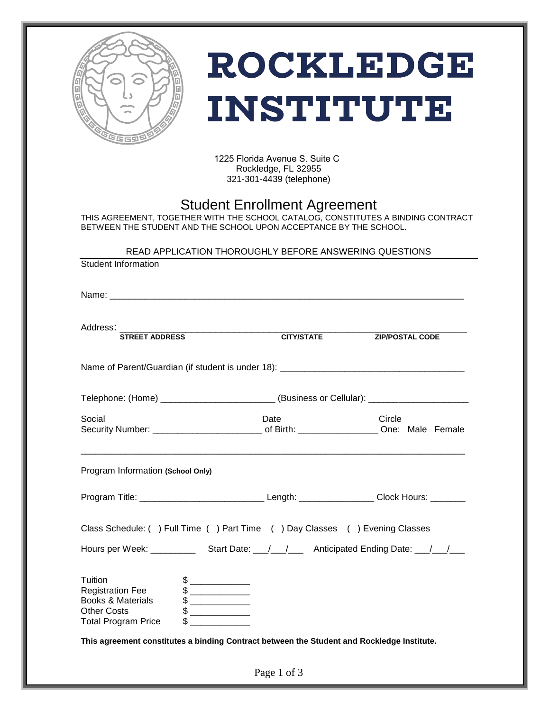

# **ROCKLEDGE INSTITUTE**

1225 Florida Avenue S. Suite C Rockledge, FL 32955 321-301-4439 (telephone)

## Student Enrollment Agreement

THIS AGREEMENT, TOGETHER WITH THE SCHOOL CATALOG, CONSTITUTES A BINDING CONTRACT BETWEEN THE STUDENT AND THE SCHOOL UPON ACCEPTANCE BY THE SCHOOL.

#### READ APPLICATION THOROUGHLY BEFORE ANSWERING QUESTIONS

| <b>Student Information</b>                                                                                                                                                                                                                                                                                                                                                                                                                                                                                                                                                                                                                                                                                                                                                                                                                                                                                                                                                                                                                                                                                                                                                                                                                                                   |                   |                                                                                   |  |  |  |  |
|------------------------------------------------------------------------------------------------------------------------------------------------------------------------------------------------------------------------------------------------------------------------------------------------------------------------------------------------------------------------------------------------------------------------------------------------------------------------------------------------------------------------------------------------------------------------------------------------------------------------------------------------------------------------------------------------------------------------------------------------------------------------------------------------------------------------------------------------------------------------------------------------------------------------------------------------------------------------------------------------------------------------------------------------------------------------------------------------------------------------------------------------------------------------------------------------------------------------------------------------------------------------------|-------------------|-----------------------------------------------------------------------------------|--|--|--|--|
|                                                                                                                                                                                                                                                                                                                                                                                                                                                                                                                                                                                                                                                                                                                                                                                                                                                                                                                                                                                                                                                                                                                                                                                                                                                                              |                   |                                                                                   |  |  |  |  |
| Address: STREET ADDRESS                                                                                                                                                                                                                                                                                                                                                                                                                                                                                                                                                                                                                                                                                                                                                                                                                                                                                                                                                                                                                                                                                                                                                                                                                                                      | <b>CITY/STATE</b> | <b>ZIP/POSTAL CODE</b>                                                            |  |  |  |  |
|                                                                                                                                                                                                                                                                                                                                                                                                                                                                                                                                                                                                                                                                                                                                                                                                                                                                                                                                                                                                                                                                                                                                                                                                                                                                              |                   |                                                                                   |  |  |  |  |
|                                                                                                                                                                                                                                                                                                                                                                                                                                                                                                                                                                                                                                                                                                                                                                                                                                                                                                                                                                                                                                                                                                                                                                                                                                                                              |                   | Telephone: (Home) ________________________(Business or Cellular): _______________ |  |  |  |  |
| Social                                                                                                                                                                                                                                                                                                                                                                                                                                                                                                                                                                                                                                                                                                                                                                                                                                                                                                                                                                                                                                                                                                                                                                                                                                                                       | Date              | Circle                                                                            |  |  |  |  |
| Program Information (School Only)                                                                                                                                                                                                                                                                                                                                                                                                                                                                                                                                                                                                                                                                                                                                                                                                                                                                                                                                                                                                                                                                                                                                                                                                                                            |                   |                                                                                   |  |  |  |  |
|                                                                                                                                                                                                                                                                                                                                                                                                                                                                                                                                                                                                                                                                                                                                                                                                                                                                                                                                                                                                                                                                                                                                                                                                                                                                              |                   |                                                                                   |  |  |  |  |
| Class Schedule: () Full Time () Part Time () Day Classes () Evening Classes                                                                                                                                                                                                                                                                                                                                                                                                                                                                                                                                                                                                                                                                                                                                                                                                                                                                                                                                                                                                                                                                                                                                                                                                  |                   |                                                                                   |  |  |  |  |
| Hours per Week: ________________Start Date: ___/___/_________Anticipated Ending Date: ___/___/____                                                                                                                                                                                                                                                                                                                                                                                                                                                                                                                                                                                                                                                                                                                                                                                                                                                                                                                                                                                                                                                                                                                                                                           |                   |                                                                                   |  |  |  |  |
| Tuition<br><b>Registration Fee</b><br>$\begin{picture}(20,20) \put(0,0){\line(1,0){10}} \put(15,0){\line(1,0){10}} \put(15,0){\line(1,0){10}} \put(15,0){\line(1,0){10}} \put(15,0){\line(1,0){10}} \put(15,0){\line(1,0){10}} \put(15,0){\line(1,0){10}} \put(15,0){\line(1,0){10}} \put(15,0){\line(1,0){10}} \put(15,0){\line(1,0){10}} \put(15,0){\line(1,0){10}} \put(15,0){\line(1$<br><b>Books &amp; Materials</b><br>$\begin{picture}(20,20) \put(0,0){\line(1,0){100}} \put(15,0){\line(1,0){100}} \put(15,0){\line(1,0){100}} \put(15,0){\line(1,0){100}} \put(15,0){\line(1,0){100}} \put(15,0){\line(1,0){100}} \put(15,0){\line(1,0){100}} \put(15,0){\line(1,0){100}} \put(15,0){\line(1,0){100}} \put(15,0){\line(1,0){100}} \put(15,0){\line(1,0){100}} \$<br>$\begin{picture}(20,20) \put(0,0){\line(1,0){10}} \put(15,0){\line(1,0){10}} \put(15,0){\line(1,0){10}} \put(15,0){\line(1,0){10}} \put(15,0){\line(1,0){10}} \put(15,0){\line(1,0){10}} \put(15,0){\line(1,0){10}} \put(15,0){\line(1,0){10}} \put(15,0){\line(1,0){10}} \put(15,0){\line(1,0){10}} \put(15,0){\line(1,0){10}} \put(15,0){\line(1$<br><b>Other Costs</b><br>Total Program Price<br>This agreement constitutes a binding Contract between the Student and Rockledge Institute. |                   |                                                                                   |  |  |  |  |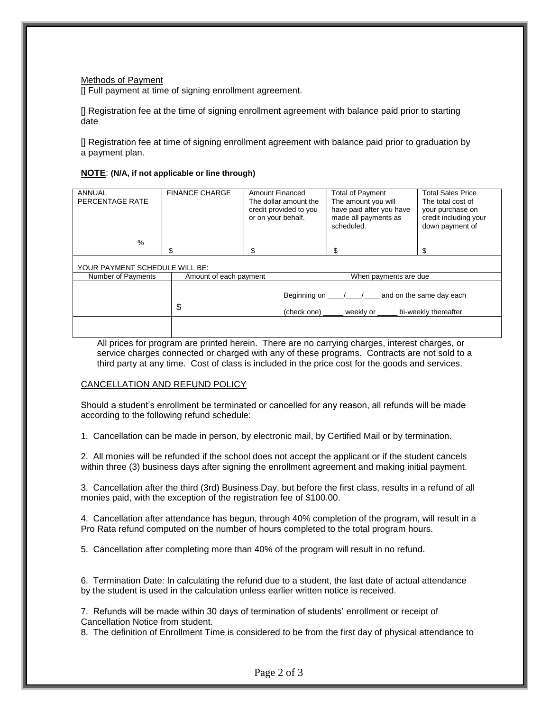Methods of Payment

[] Full payment at time of signing enrollment agreement.

[] Registration fee at the time of signing enrollment agreement with balance paid prior to starting date

[] Registration fee at time of signing enrollment agreement with balance paid prior to graduation by a payment plan.

#### **NOTE**: **(N/A, if not applicable or line through)**

| <b>ANNUAL</b><br>PERCENTAGE RATE | <b>FINANCE CHARGE</b>  | <b>Amount Financed</b><br>or on your behalf. | The dollar amount the<br>credit provided to you | <b>Total of Payment</b><br>The amount you will<br>have paid after you have<br>made all payments as<br>scheduled. | <b>Total Sales Price</b><br>The total cost of<br>your purchase on<br>credit including your<br>down payment of |  |
|----------------------------------|------------------------|----------------------------------------------|-------------------------------------------------|------------------------------------------------------------------------------------------------------------------|---------------------------------------------------------------------------------------------------------------|--|
| %                                |                        |                                              |                                                 |                                                                                                                  |                                                                                                               |  |
|                                  | \$.                    | \$.                                          |                                                 | \$                                                                                                               | \$.                                                                                                           |  |
| YOUR PAYMENT SCHEDULE WILL BE:   |                        |                                              |                                                 |                                                                                                                  |                                                                                                               |  |
| Number of Payments               | Amount of each payment |                                              |                                                 | When payments are due                                                                                            |                                                                                                               |  |
|                                  | \$                     |                                              | (check one)                                     | Beginning on $\frac{1}{2}$ / and on the same day each<br>weekly or                                               | bi-weekly thereafter                                                                                          |  |
|                                  |                        |                                              |                                                 |                                                                                                                  |                                                                                                               |  |

All prices for program are printed herein. There are no carrying charges, interest charges, or service charges connected or charged with any of these programs. Contracts are not sold to a third party at any time. Cost of class is included in the price cost for the goods and services.

#### CANCELLATION AND REFUND POLICY

Should a student's enrollment be terminated or cancelled for any reason, all refunds will be made according to the following refund schedule:

1. Cancellation can be made in person, by electronic mail, by Certified Mail or by termination.

2. All monies will be refunded if the school does not accept the applicant or if the student cancels within three (3) business days after signing the enrollment agreement and making initial payment.

3. Cancellation after the third (3rd) Business Day, but before the first class, results in a refund of all monies paid, with the exception of the registration fee of \$100.00.

4. Cancellation after attendance has begun, through 40% completion of the program, will result in a Pro Rata refund computed on the number of hours completed to the total program hours.

5. Cancellation after completing more than 40% of the program will result in no refund.

6. Termination Date: In calculating the refund due to a student, the last date of actual attendance by the student is used in the calculation unless earlier written notice is received.

7. Refunds will be made within 30 days of termination of students' enrollment or receipt of Cancellation Notice from student.

8. The definition of Enrollment Time is considered to be from the first day of physical attendance to